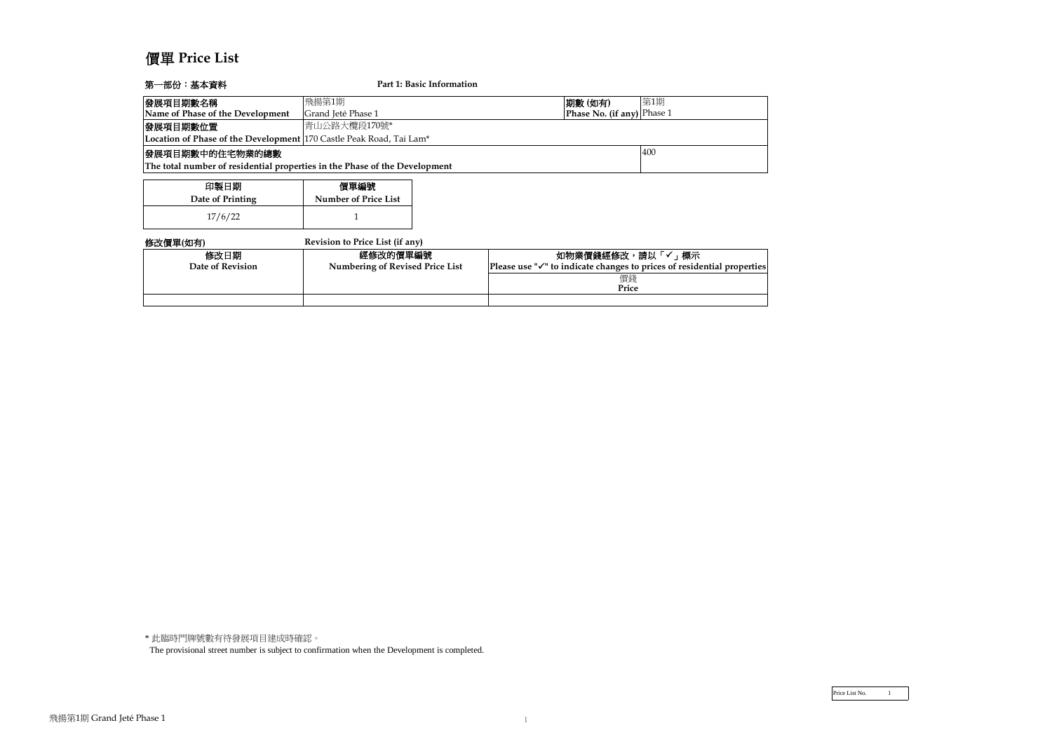# 價單 **Price List**

| 第一部份:基本資料                                                                  |                                        | Part 1: Basic Information |                                                                                  |     |
|----------------------------------------------------------------------------|----------------------------------------|---------------------------|----------------------------------------------------------------------------------|-----|
| 發展項目期數名稱                                                                   | 飛揚第1期                                  |                           | 期數 (如有)                                                                          | 第1期 |
| Name of Phase of the Development                                           | Grand Jeté Phase 1                     |                           | Phase No. (if any) Phase 1                                                       |     |
| 發展項目期數位置                                                                   | 青山公路大欖段170號*                           |                           |                                                                                  |     |
| Location of Phase of the Development   170 Castle Peak Road, Tai Lam*      |                                        |                           |                                                                                  |     |
| 發展項目期數中的住宅物業的總數                                                            |                                        |                           |                                                                                  | 400 |
| The total number of residential properties in the Phase of the Development |                                        |                           |                                                                                  |     |
|                                                                            |                                        |                           |                                                                                  |     |
| 印製日期                                                                       | 價單編號                                   |                           |                                                                                  |     |
| Date of Printing                                                           | <b>Number of Price List</b>            |                           |                                                                                  |     |
| 17/6/22                                                                    |                                        |                           |                                                                                  |     |
| 修改價單(如有)                                                                   | Revision to Price List (if any)        |                           |                                                                                  |     |
| 修改日期                                                                       | 經修改的價單編號                               |                           | 如物業價錢經修改,請以「✓」標示                                                                 |     |
| Date of Revision                                                           | <b>Numbering of Revised Price List</b> |                           | Please use $\sqrt[n]{ }$ to indicate changes to prices of residential properties |     |
|                                                                            |                                        |                           | 價錢                                                                               |     |
|                                                                            |                                        |                           | Price                                                                            |     |
|                                                                            |                                        |                           |                                                                                  |     |

\* 此臨時門牌號數有待發展項目建成時確認。

The provisional street number is subject to confirmation when the Development is completed.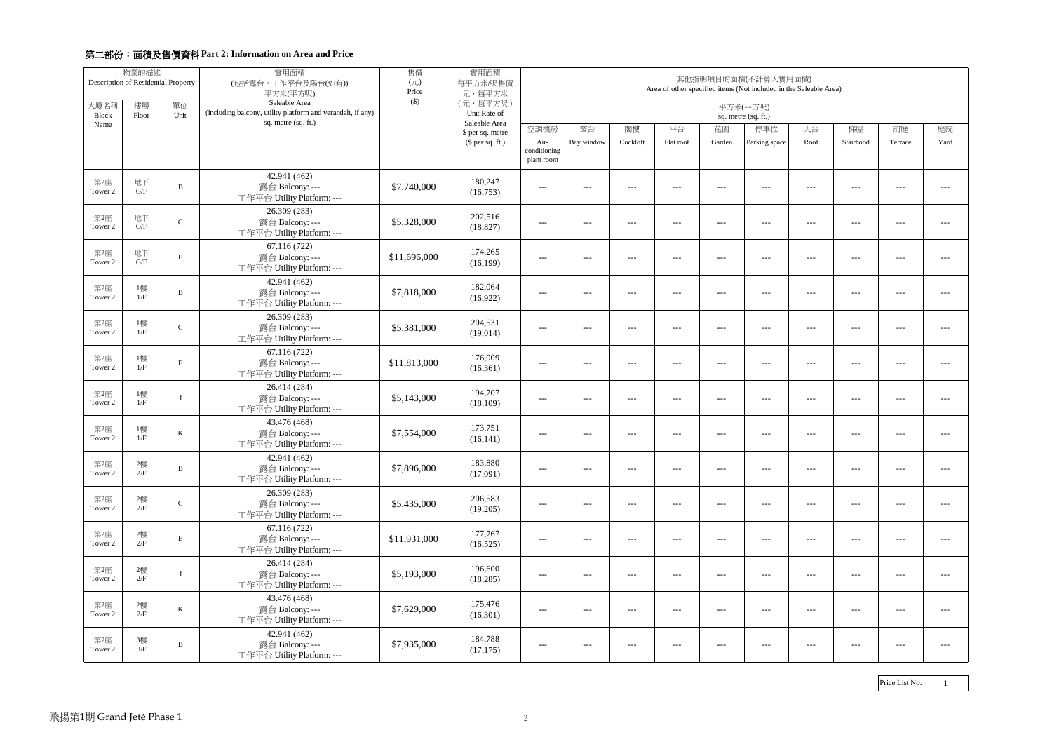|                      | 物業的描述<br>Description of Residential Property |               | 實用面積<br>(包括露台,工作平台及陽台(如有))<br>平方米(平方呎)                                      | 售價<br>$(\overrightarrow{\pi})$<br>Price<br>$($ \$) | 實用面積<br>每平方米/呎售價<br>元,每平方米        | 其他指明項目的面積(不計算入實用面積)<br>Area of other specified items (Not included in the Saleable Area) |                                                                                                                                                                                                                                                                                                                                                                                              |          |                                             |         |               |         |           |         |               |
|----------------------|----------------------------------------------|---------------|-----------------------------------------------------------------------------|----------------------------------------------------|-----------------------------------|------------------------------------------------------------------------------------------|----------------------------------------------------------------------------------------------------------------------------------------------------------------------------------------------------------------------------------------------------------------------------------------------------------------------------------------------------------------------------------------------|----------|---------------------------------------------|---------|---------------|---------|-----------|---------|---------------|
| 大廈名稱<br><b>Block</b> | 樓層<br>Floor                                  | 單位<br>Unit    | Saleable Area<br>(including balcony, utility platform and verandah, if any) |                                                    | (元,每平方呎)<br>Unit Rate of          | 平方米(平方呎)<br>sq. metre (sq. ft.)                                                          |                                                                                                                                                                                                                                                                                                                                                                                              |          |                                             |         |               |         |           |         |               |
| Name                 |                                              |               | sq. metre (sq. ft.)                                                         |                                                    | Saleable Area<br>\$ per sq. metre | 空調機房                                                                                     | 窗台                                                                                                                                                                                                                                                                                                                                                                                           | 閣樓       | 平台                                          | 花園      | 停車位           | 天台      | 梯屋        | 前庭      | 庭院            |
|                      |                                              |               |                                                                             |                                                    | $$$ per sq. ft.)                  | Air-<br>conditioning<br>plant room                                                       | Bay window                                                                                                                                                                                                                                                                                                                                                                                   | Cockloft | Flat roof                                   | Garden  | Parking space | Roof    | Stairhood | Terrace | Yard          |
| 第2座<br>Tower 2       | 地下<br>G/F                                    | B             | 42.941 (462)<br>露台 Balcony: ---<br>工作平台 Utility Platform: ---               | \$7,740,000                                        | 180,247<br>(16,753)               | $\qquad \qquad - -$                                                                      | $- - -$                                                                                                                                                                                                                                                                                                                                                                                      | $- - -$  | $---$                                       | $  -$   | $- - -$       | $  -$   | $- - -$   | $- - -$ | $\frac{1}{2}$ |
| 第2座<br>Tower 2       | 地下<br>$\mathrm{G}/\mathrm{F}$                | $\mathcal{C}$ | 26.309 (283)<br>露台 Balcony: ---<br>工作平台 Utility Platform: ---               | \$5,328,000                                        | 202,516<br>(18, 827)              | $- - -$                                                                                  | $\frac{1}{2} \frac{1}{2} \frac{1}{2} \frac{1}{2} \frac{1}{2} \frac{1}{2} \frac{1}{2} \frac{1}{2} \frac{1}{2} \frac{1}{2} \frac{1}{2} \frac{1}{2} \frac{1}{2} \frac{1}{2} \frac{1}{2} \frac{1}{2} \frac{1}{2} \frac{1}{2} \frac{1}{2} \frac{1}{2} \frac{1}{2} \frac{1}{2} \frac{1}{2} \frac{1}{2} \frac{1}{2} \frac{1}{2} \frac{1}{2} \frac{1}{2} \frac{1}{2} \frac{1}{2} \frac{1}{2} \frac{$ | $---$    | $--$                                        | $---$   | $- - -$       | $  -$   | $-$ – $-$ | $- - -$ | $- - -$       |
| 第2座<br>Tower 2       | 地下<br>G/F                                    | $\mathbf E$   | 67.116 (722)<br>露台 Balcony: ---<br>工作平台 Utility Platform: ---               | \$11,696,000                                       | 174,265<br>(16, 199)              | $- - -$                                                                                  | $- - -$                                                                                                                                                                                                                                                                                                                                                                                      | $- - -$  | $\qquad \qquad - -$                         | $- - -$ | $- - -$       | $  -$   | $- - -$   | $---$   | $\frac{1}{2}$ |
| 第2座<br>Tower 2       | 1樓<br>1/F                                    | B             | 42.941 (462)<br>露台 Balcony: ---<br>工作平台 Utility Platform: ---               | \$7,818,000                                        | 182,064<br>(16,922)               | $\frac{1}{2}$                                                                            | $- - -$                                                                                                                                                                                                                                                                                                                                                                                      | $- - -$  | $\qquad \qquad - -$                         | $  -$   | $- - -$       | $- - -$ | $- - -$   | $---$   | $\frac{1}{2}$ |
| 第2座<br>Tower 2       | 1樓<br>1/F                                    | $\mathsf{C}$  | 26.309 (283)<br>露台 Balcony: ---<br>工作平台 Utility Platform: ---               | \$5,381,000                                        | 204,531<br>(19,014)               | $- - -$                                                                                  | $\frac{1}{2} \frac{1}{2} \frac{1}{2} \frac{1}{2} \frac{1}{2} \frac{1}{2} \frac{1}{2} \frac{1}{2} \frac{1}{2} \frac{1}{2} \frac{1}{2} \frac{1}{2} \frac{1}{2} \frac{1}{2} \frac{1}{2} \frac{1}{2} \frac{1}{2} \frac{1}{2} \frac{1}{2} \frac{1}{2} \frac{1}{2} \frac{1}{2} \frac{1}{2} \frac{1}{2} \frac{1}{2} \frac{1}{2} \frac{1}{2} \frac{1}{2} \frac{1}{2} \frac{1}{2} \frac{1}{2} \frac{$ | $- - -$  | $  -$                                       | $  -$   | $  -$         | $  -$   | $-$ – $-$ | $- - -$ | $- - -$       |
| 第2座<br>Tower 2       | 1樓<br>1/F                                    | E             | 67.116 (722)<br>露台 Balcony: ---<br>工作平台 Utility Platform: ---               | \$11,813,000                                       | 176,009<br>(16,361)               | $\qquad \qquad - -$                                                                      | $- - -$                                                                                                                                                                                                                                                                                                                                                                                      | $---$    | $---$                                       | $  -$   | $- - -$       | $  -$   | $- - -$   | $---$   | $\frac{1}{2}$ |
| 第2座<br>Tower 2       | 1樓<br>$1/\hbox{F}$                           |               | 26.414 (284)<br>露台 Balcony: ---<br>工作平台 Utility Platform: ---               | \$5,143,000                                        | 194,707<br>(18, 109)              | $---$                                                                                    | $---$                                                                                                                                                                                                                                                                                                                                                                                        | $---$    | $---$                                       | $---$   | $---$         | $---$   | $---$     | ---     | $\frac{1}{2}$ |
| 第2座<br>Tower 2       | 1樓<br>1/F                                    | K             | 43.476 (468)<br>露台 Balcony: ---<br>工作平台 Utility Platform: ---               | \$7,554,000                                        | 173,751<br>(16, 141)              | $- - -$                                                                                  | $- - -$                                                                                                                                                                                                                                                                                                                                                                                      | $- - -$  | $\qquad \qquad - -$                         | $- - -$ | $  -$         | $---$   | $  -$     | $- - -$ | $\frac{1}{2}$ |
| 第2座<br>Tower 2       | 2樓<br>$2/F$                                  | B             | 42.941 (462)<br>露台 Balcony: ---<br>工作平台 Utility Platform: ---               | \$7,896,000                                        | 183,880<br>(17,091)               | $---$                                                                                    | $---$                                                                                                                                                                                                                                                                                                                                                                                        | $---$    | $---$                                       | $---$   | $---$         | $---$   | $---$     | ---     | ---           |
| 第2座<br>Tower 2       | 2樓<br>2/F                                    | ${\bf C}$     | 26.309 (283)<br>露台 Balcony: ---<br>工作平台 Utility Platform: ---               | \$5,435,000                                        | 206,583<br>(19,205)               | $---$                                                                                    | $---$                                                                                                                                                                                                                                                                                                                                                                                        | $---$    | $\scriptstyle \cdots$ $\scriptstyle \cdots$ | $---$   | $- - -$       | $---$   | $---$     | $- - -$ | $- - -$       |
| 第2座<br>Tower 2       | 2樓<br>2/F                                    | $\mathbf E$   | 67.116 (722)<br>露台 Balcony: ---<br>工作平台 Utility Platform: ---               | \$11,931,000                                       | 177,767<br>(16,525)               | $---$                                                                                    | $---$                                                                                                                                                                                                                                                                                                                                                                                        | $---$    | $---$                                       | $---$   | $--$          | $---$   | $- - -$   | ---     | $---$         |
| 第2座<br>Tower 2       | 2樓<br>2/F                                    | $\lceil$      | 26.414 (284)<br>露台 Balcony: ---<br>工作平台 Utility Platform: ---               | \$5,193,000                                        | 196,600<br>(18, 285)              | $--$                                                                                     | $---$                                                                                                                                                                                                                                                                                                                                                                                        | $---$    | $--$                                        | $---$   | $---$         | $---$   | $---$     | $---$   | $---$         |
| 第2座<br>Tower 2       | 2樓<br>2/F                                    | $\bf K$       | 43.476 (468)<br>露台 Balcony: ---<br>工作平台 Utility Platform: ---               | \$7,629,000                                        | 175,476<br>(16,301)               | $---$                                                                                    | $---$                                                                                                                                                                                                                                                                                                                                                                                        | $---$    | $---$                                       | $---$   | $---$         | $---$   | $---$     | $---$   | $---$         |
| 第2座<br>Tower 2       | 3樓<br>3/F                                    | B             | 42.941 (462)<br>露台 Balcony: ---<br>工作平台 Utility Platform: ---               | \$7,935,000                                        | 184,788<br>(17, 175)              | $---$                                                                                    | $---$                                                                                                                                                                                                                                                                                                                                                                                        | $---$    | $---$                                       | $---$   | $--$          | $---$   | $---$     | ---     | $---$         |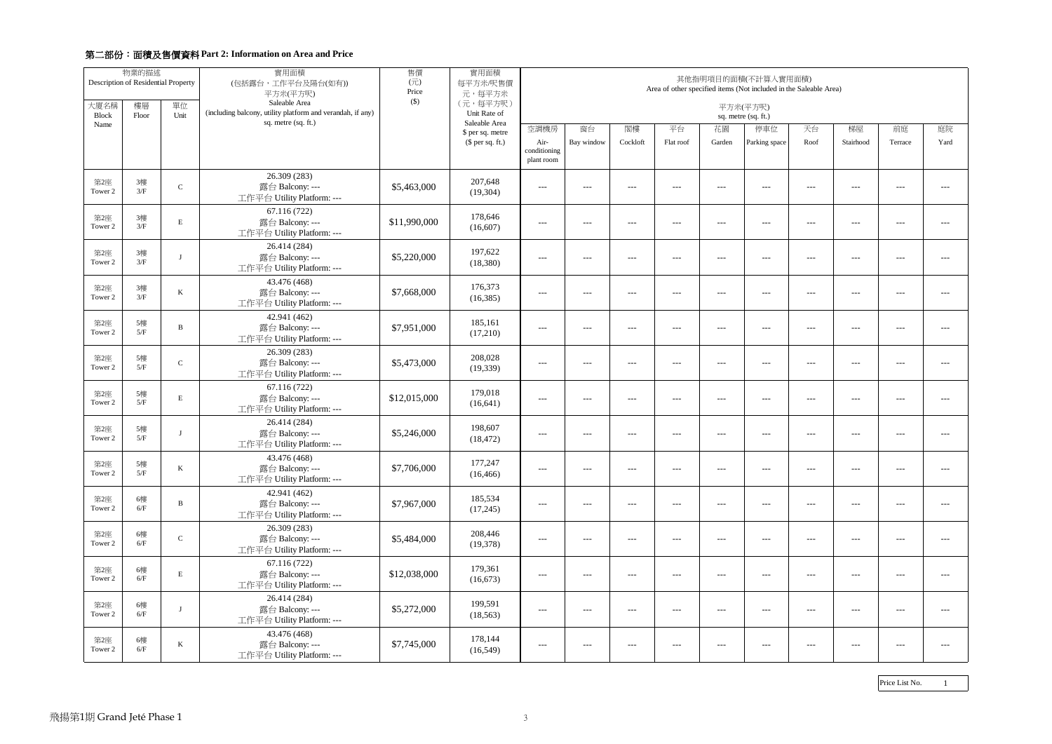|                      | 物業的描述<br>Description of Residential Property |               | 實用面積<br>(包括露台,工作平台及陽台(如有))<br>平方米(平方呎)                                      | 售價<br>$(\overrightarrow{\pi})$<br>Price | 實用面積<br>每平方米/呎售價<br>元,每平方米        | 其他指明項目的面積(不計算入實用面積)<br>Area of other specified items (Not included in the Saleable Area) |                                                                                                                                                                                                                                                                                                                                                                                              |          |                                                                                                                                                                                                                                                                                                                                                                                              |                                     |               |         |           |                                        |               |
|----------------------|----------------------------------------------|---------------|-----------------------------------------------------------------------------|-----------------------------------------|-----------------------------------|------------------------------------------------------------------------------------------|----------------------------------------------------------------------------------------------------------------------------------------------------------------------------------------------------------------------------------------------------------------------------------------------------------------------------------------------------------------------------------------------|----------|----------------------------------------------------------------------------------------------------------------------------------------------------------------------------------------------------------------------------------------------------------------------------------------------------------------------------------------------------------------------------------------------|-------------------------------------|---------------|---------|-----------|----------------------------------------|---------------|
| 大廈名稱<br><b>Block</b> | 樓層<br>Floor                                  | 單位<br>Unit    | Saleable Area<br>(including balcony, utility platform and verandah, if any) | $($ \$)                                 | (元,每平方呎)<br>Unit Rate of          | 平方米(平方呎)<br>sq. metre (sq. ft.)                                                          |                                                                                                                                                                                                                                                                                                                                                                                              |          |                                                                                                                                                                                                                                                                                                                                                                                              |                                     |               |         |           |                                        |               |
| Name                 |                                              |               | sq. metre (sq. ft.)                                                         |                                         | Saleable Area<br>\$ per sq. metre | 空調機房                                                                                     | 窗台                                                                                                                                                                                                                                                                                                                                                                                           | 閣樓       | 平台                                                                                                                                                                                                                                                                                                                                                                                           | 花園                                  | 停車位           | 天台      | 梯屋        | 前庭                                     | 庭院            |
|                      |                                              |               |                                                                             |                                         | (\$ per sq. ft.)                  | Air-<br>conditioning<br>plant room                                                       | Bay window                                                                                                                                                                                                                                                                                                                                                                                   | Cockloft | Flat roof                                                                                                                                                                                                                                                                                                                                                                                    | Garden                              | Parking space | Roof    | Stairhood | Terrace                                | Yard          |
| 第2座<br>Tower 2       | 3樓<br>3/F                                    | $\mathcal{C}$ | 26.309 (283)<br>露台 Balcony: ---<br>工作平台 Utility Platform: ---               | \$5,463,000                             | 207,648<br>(19,304)               | $\frac{1}{2}$                                                                            | $---$                                                                                                                                                                                                                                                                                                                                                                                        | ---      | $---$                                                                                                                                                                                                                                                                                                                                                                                        | $  -$                               | $- - -$       | $- - -$ | $- - -$   | $---$                                  | $\frac{1}{2}$ |
| 第2座<br>Tower 2       | 3樓<br>3/F                                    | E             | 67.116 (722)<br>露台 Balcony: ---<br>工作平台 Utility Platform: ---               | \$11,990,000                            | 178,646<br>(16,607)               | $- - -$                                                                                  | $\frac{1}{2} \frac{1}{2} \frac{1}{2} \frac{1}{2} \frac{1}{2} \frac{1}{2} \frac{1}{2} \frac{1}{2} \frac{1}{2} \frac{1}{2} \frac{1}{2} \frac{1}{2} \frac{1}{2} \frac{1}{2} \frac{1}{2} \frac{1}{2} \frac{1}{2} \frac{1}{2} \frac{1}{2} \frac{1}{2} \frac{1}{2} \frac{1}{2} \frac{1}{2} \frac{1}{2} \frac{1}{2} \frac{1}{2} \frac{1}{2} \frac{1}{2} \frac{1}{2} \frac{1}{2} \frac{1}{2} \frac{$ | $- - -$  | $  -$                                                                                                                                                                                                                                                                                                                                                                                        | $- - -$                             | $  -$         | $  -$   | $  -$     | $- - -$                                | $- - -$       |
| 第2座<br>Tower 2       | 3樓<br>3/F                                    | - 1           | 26.414 (284)<br>露台 Balcony: ---<br>工作平台 Utility Platform: ---               | \$5,220,000                             | 197,622<br>(18, 380)              | $- - -$                                                                                  | $---$                                                                                                                                                                                                                                                                                                                                                                                        | $---$    | $---$                                                                                                                                                                                                                                                                                                                                                                                        | $---$                               | $- - -$       | $---$   | $- - -$   | $---$                                  | $\frac{1}{2}$ |
| 第2座<br>Tower 2       | 3樓<br>3/F                                    | K             | 43.476 (468)<br>露台 Balcony: ---<br>工作平台 Utility Platform: ---               | \$7,668,000                             | 176,373<br>(16, 385)              | $---$                                                                                    | $---$                                                                                                                                                                                                                                                                                                                                                                                        | $---$    | $---$                                                                                                                                                                                                                                                                                                                                                                                        | $---$                               | $  -$         | $---$   | $---$     | ---                                    | $- - -$       |
| 第2座<br>Tower 2       | 5樓<br>5/F                                    | B             | 42.941 (462)<br>露台 Balcony: ---<br>工作平台 Utility Platform: ---               | \$7,951,000                             | 185,161<br>(17,210)               | $- - -$                                                                                  | $- - -$                                                                                                                                                                                                                                                                                                                                                                                      | $- - -$  | $\qquad \qquad - -$                                                                                                                                                                                                                                                                                                                                                                          | $  -$                               | $  -$         | $  -$   | $- - -$   | $- - -$                                | $---$         |
| 第2座<br>Tower 2       | 5樓<br>5/F                                    | $\mathcal{C}$ | 26.309 (283)<br>露台 Balcony: ---<br>工作平台 Utility Platform: ---               | \$5,473,000                             | 208,028<br>(19, 339)              | $---$                                                                                    | $---$                                                                                                                                                                                                                                                                                                                                                                                        | $---$    | $---$                                                                                                                                                                                                                                                                                                                                                                                        | $---$                               | $---$         | $---$   | $---$     | ---                                    | $---$         |
| 第2座<br>Tower 2       | 5樓<br>5/F                                    | E             | 67.116 (722)<br>露台 Balcony: ---<br>工作平台 Utility Platform: ---               | \$12,015,000                            | 179,018<br>(16, 641)              | $---$                                                                                    | $\frac{1}{2} \frac{1}{2} \frac{1}{2} \frac{1}{2} \frac{1}{2} \frac{1}{2} \frac{1}{2} \frac{1}{2} \frac{1}{2} \frac{1}{2} \frac{1}{2} \frac{1}{2} \frac{1}{2} \frac{1}{2} \frac{1}{2} \frac{1}{2} \frac{1}{2} \frac{1}{2} \frac{1}{2} \frac{1}{2} \frac{1}{2} \frac{1}{2} \frac{1}{2} \frac{1}{2} \frac{1}{2} \frac{1}{2} \frac{1}{2} \frac{1}{2} \frac{1}{2} \frac{1}{2} \frac{1}{2} \frac{$ | $---$    | $\frac{1}{2} \frac{1}{2} \frac{1}{2} \frac{1}{2} \frac{1}{2} \frac{1}{2} \frac{1}{2} \frac{1}{2} \frac{1}{2} \frac{1}{2} \frac{1}{2} \frac{1}{2} \frac{1}{2} \frac{1}{2} \frac{1}{2} \frac{1}{2} \frac{1}{2} \frac{1}{2} \frac{1}{2} \frac{1}{2} \frac{1}{2} \frac{1}{2} \frac{1}{2} \frac{1}{2} \frac{1}{2} \frac{1}{2} \frac{1}{2} \frac{1}{2} \frac{1}{2} \frac{1}{2} \frac{1}{2} \frac{$ | $- - -$                             | $  -$         | $  -$   | $  -$     | $- - -$                                | $- - -$       |
| 第2座<br>Tower 2       | 5樓<br>5/F                                    | $\lrcorner$   | 26.414 (284)<br>露台 Balcony: ---<br>工作平台 Utility Platform: ---               | \$5,246,000                             | 198,607<br>(18, 472)              | $\frac{1}{2}$                                                                            | $---$                                                                                                                                                                                                                                                                                                                                                                                        | $---$    | $---$                                                                                                                                                                                                                                                                                                                                                                                        | $---$                               | $--$          | $---$   | $---$     | ---                                    | $\frac{1}{2}$ |
| 第2座<br>Tower 2       | 5樓<br>$5/F$                                  | K             | 43.476 (468)<br>露台 Balcony: ---<br>工作平台 Utility Platform: ---               | \$7,706,000                             | 177,247<br>(16, 466)              | $---$                                                                                    | $---$                                                                                                                                                                                                                                                                                                                                                                                        | $---$    | $---$                                                                                                                                                                                                                                                                                                                                                                                        | $---$                               | $---$         | $---$   | $- - -$   | ---                                    | ---           |
| 第2座<br>Tower 2       | 6樓<br>$6/F$                                  | B             | 42.941 (462)<br>露台 Balcony: ---<br>工作平台 Utility Platform: ---               | \$7,967,000                             | 185,534<br>(17,245)               | $\qquad \qquad - -$                                                                      | $---$                                                                                                                                                                                                                                                                                                                                                                                        | $---$    | $\scriptstyle \cdots$ $\scriptstyle \cdots$                                                                                                                                                                                                                                                                                                                                                  | $\hspace{0.05cm}---\hspace{0.05cm}$ | $- - -$       | $---$   | $  -$     | $\scriptstyle\cdots\scriptstyle\cdots$ | $- - -$       |
| 第2座<br>Tower 2       | 6樓<br>6/F                                    | ${\bf C}$     | 26.309 (283)<br>露台 Balcony: ---<br>工作平台 Utility Platform: ---               | \$5,484,000                             | 208,446<br>(19,378)               | $---$                                                                                    | $---$                                                                                                                                                                                                                                                                                                                                                                                        | $---$    | $---$                                                                                                                                                                                                                                                                                                                                                                                        | $---$                               | $--$          | $---$   | $---$     | ---                                    | ---           |
| 第2座<br>Tower 2       | 6樓<br>6/F                                    | E             | 67.116 (722)<br>露台 Balcony: ---<br>工作平台 Utility Platform: ---               | \$12,038,000                            | 179,361<br>(16, 673)              | $- - -$                                                                                  | $---$                                                                                                                                                                                                                                                                                                                                                                                        | $- - -$  | $  -$                                                                                                                                                                                                                                                                                                                                                                                        | $- - -$                             | $- - -$       | $---$   | $- - -$   | $- - -$                                | $- - -$       |
| 第2座<br>Tower 2       | 6樓<br>$6/F$                                  | - 1           | 26.414 (284)<br>露台 Balcony: ---<br>工作平台 Utility Platform: ---               | \$5,272,000                             | 199,591<br>(18, 563)              | $---$                                                                                    | $---$                                                                                                                                                                                                                                                                                                                                                                                        | $---$    | $---$                                                                                                                                                                                                                                                                                                                                                                                        | $---$                               | $---$         | $---$   | $---$     | $---$                                  | $- - -$       |
| 第2座<br>Tower 2       | 6樓<br>6/F                                    | K             | 43.476 (468)<br>露台 Balcony: ---<br>工作平台 Utility Platform: ---               | \$7,745,000                             | 178,144<br>(16, 549)              | $---$                                                                                    | $---$                                                                                                                                                                                                                                                                                                                                                                                        | $---$    | $--$                                                                                                                                                                                                                                                                                                                                                                                         | $---$                               | $---$         | $---$   | $---$     | $---$                                  | $---$         |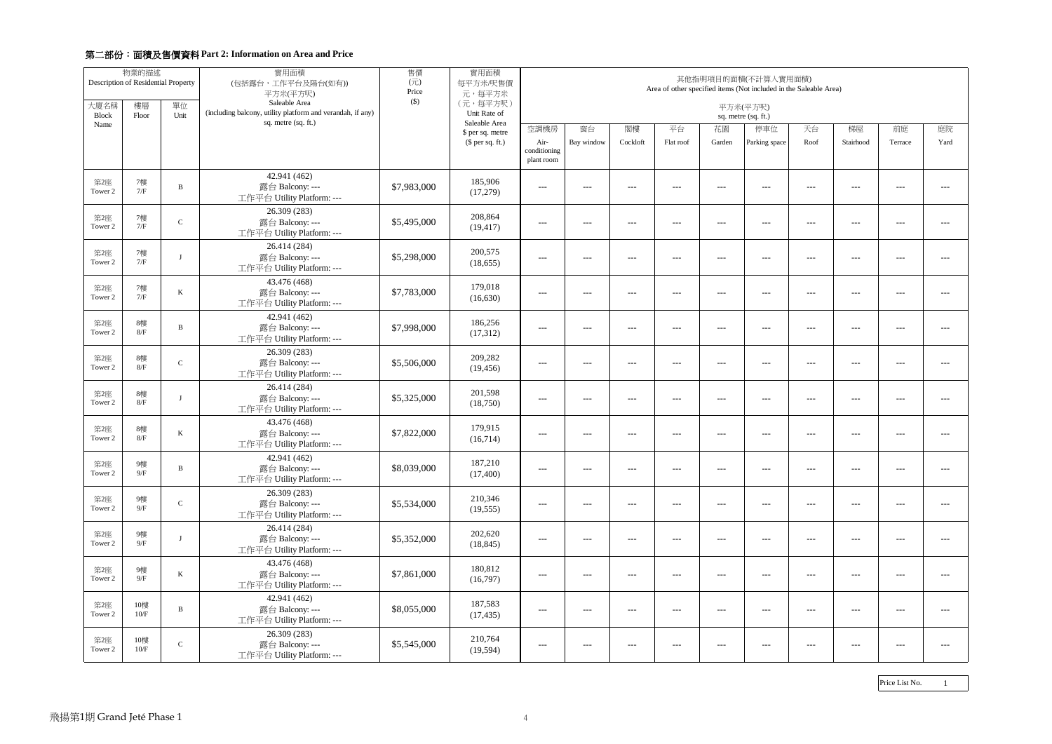|                      | 物業的描述<br>Description of Residential Property |               | 實用面積<br>(包括露台,工作平台及陽台(如有))<br>平方米(平方呎)                                      | 售價<br>$(\overrightarrow{\pi})$<br>Price | 實用面積<br>每平方米/呎售價<br>元,每平方米        | 其他指明項目的面積(不計算入實用面積)<br>Area of other specified items (Not included in the Saleable Area) |                                                                                                                                                                                                                                                                                                                                                                                              |          |                     |         |               |         |           |                                             |               |
|----------------------|----------------------------------------------|---------------|-----------------------------------------------------------------------------|-----------------------------------------|-----------------------------------|------------------------------------------------------------------------------------------|----------------------------------------------------------------------------------------------------------------------------------------------------------------------------------------------------------------------------------------------------------------------------------------------------------------------------------------------------------------------------------------------|----------|---------------------|---------|---------------|---------|-----------|---------------------------------------------|---------------|
| 大廈名稱<br><b>Block</b> | 樓層<br>Floor                                  | 單位<br>Unit    | Saleable Area<br>(including balcony, utility platform and verandah, if any) | $($ \$)                                 | (元,每平方呎)<br>Unit Rate of          | 平方米(平方呎)<br>sq. metre (sq. ft.)                                                          |                                                                                                                                                                                                                                                                                                                                                                                              |          |                     |         |               |         |           |                                             |               |
| Name                 |                                              |               | sq. metre (sq. ft.)                                                         |                                         | Saleable Area<br>\$ per sq. metre | 空調機房                                                                                     | 窗台                                                                                                                                                                                                                                                                                                                                                                                           | 閣樓       | 平台                  | 花園      | 停車位           | 天台      | 梯屋        | 前庭                                          | 庭院            |
|                      |                                              |               |                                                                             |                                         | $$$ per sq. ft.)                  | Air-<br>conditioning<br>plant room                                                       | Bay window                                                                                                                                                                                                                                                                                                                                                                                   | Cockloft | Flat roof           | Garden  | Parking space | Roof    | Stairhood | Terrace                                     | Yard          |
| 第2座<br>Tower 2       | 7樓<br>7/F                                    | B             | 42.941 (462)<br>露台 Balcony: ---<br>工作平台 Utility Platform: ---               | \$7,983,000                             | 185,906<br>(17,279)               | $\frac{1}{2}$                                                                            | $- - -$                                                                                                                                                                                                                                                                                                                                                                                      | ---      | $---$               | $  -$   | $- - -$       | $- - -$ | $- - -$   | $---$                                       | $\frac{1}{2}$ |
| 第2座<br>Tower 2       | 7樓<br>7/F                                    | $\mathsf{C}$  | 26.309 (283)<br>露台 Balcony: ---<br>工作平台 Utility Platform: ---               | \$5,495,000                             | 208,864<br>(19, 417)              | $- - -$                                                                                  | $\frac{1}{2} \frac{1}{2} \frac{1}{2} \frac{1}{2} \frac{1}{2} \frac{1}{2} \frac{1}{2} \frac{1}{2} \frac{1}{2} \frac{1}{2} \frac{1}{2} \frac{1}{2} \frac{1}{2} \frac{1}{2} \frac{1}{2} \frac{1}{2} \frac{1}{2} \frac{1}{2} \frac{1}{2} \frac{1}{2} \frac{1}{2} \frac{1}{2} \frac{1}{2} \frac{1}{2} \frac{1}{2} \frac{1}{2} \frac{1}{2} \frac{1}{2} \frac{1}{2} \frac{1}{2} \frac{1}{2} \frac{$ | $- - -$  | $  -$               | $- - -$ | $- - -$       | $  -$   | $  -$     | $- - -$                                     | $- - -$       |
| 第2座<br>Tower 2       | 7樓<br>7/F                                    | - 1           | 26.414 (284)<br>露台 Balcony: ---<br>工作平台 Utility Platform: ---               | \$5,298,000                             | 200,575<br>(18,655)               | $- - -$                                                                                  | $---$                                                                                                                                                                                                                                                                                                                                                                                        | $---$    | $---$               | $---$   | $- - -$       | $---$   | $- - -$   | $---$                                       | $\frac{1}{2}$ |
| 第2座<br>Tower 2       | 7樓<br>7/F                                    | K             | 43.476 (468)<br>露台 Balcony: ---<br>工作平台 Utility Platform: ---               | \$7,783,000                             | 179,018<br>(16,630)               | $---$                                                                                    | $---$                                                                                                                                                                                                                                                                                                                                                                                        | $---$    | $---$               | $---$   | $  -$         | $---$   | $---$     | ---                                         | $- - -$       |
| 第2座<br>Tower 2       | 8樓<br>8/F                                    | B             | 42.941 (462)<br>露台 Balcony: ---<br>工作平台 Utility Platform: ---               | \$7,998,000                             | 186,256<br>(17,312)               | $- - -$                                                                                  | $- - -$                                                                                                                                                                                                                                                                                                                                                                                      | $- - -$  | $\qquad \qquad - -$ | $  -$   | $  -$         | $  -$   | $- - -$   | $- - -$                                     | $---$         |
| 第2座<br>Tower 2       | 8樓<br>8/F                                    | $\mathcal{C}$ | 26.309 (283)<br>露台 Balcony: ---<br>工作平台 Utility Platform: ---               | \$5,506,000                             | 209,282<br>(19, 456)              | $---$                                                                                    | $---$                                                                                                                                                                                                                                                                                                                                                                                        | $---$    | $---$               | $---$   | $---$         | $---$   | $---$     | ---                                         | $---$         |
| 第2座<br>Tower 2       | 8樓<br>$8/F$                                  | -1            | 26.414 (284)<br>露台 Balcony: ---<br>工作平台 Utility Platform: ---               | \$5,325,000                             | 201,598<br>(18,750)               | $- - -$                                                                                  | $\frac{1}{2} \frac{1}{2} \frac{1}{2} \frac{1}{2} \frac{1}{2} \frac{1}{2} \frac{1}{2} \frac{1}{2} \frac{1}{2} \frac{1}{2} \frac{1}{2} \frac{1}{2} \frac{1}{2} \frac{1}{2} \frac{1}{2} \frac{1}{2} \frac{1}{2} \frac{1}{2} \frac{1}{2} \frac{1}{2} \frac{1}{2} \frac{1}{2} \frac{1}{2} \frac{1}{2} \frac{1}{2} \frac{1}{2} \frac{1}{2} \frac{1}{2} \frac{1}{2} \frac{1}{2} \frac{1}{2} \frac{$ | $---$    | $\frac{1}{2}$       | $- - -$ | $  -$         | $  -$   | $  -$     | $- - -$                                     | $- - -$       |
| 第2座<br>Tower 2       | 8樓<br>8/F                                    | $\bf K$       | 43.476 (468)<br>露台 Balcony: ---<br>工作平台 Utility Platform: ---               | \$7,822,000                             | 179,915<br>(16,714)               | $\frac{1}{2}$                                                                            | $---$                                                                                                                                                                                                                                                                                                                                                                                        | $---$    | $---$               | $---$   | $--$          | $---$   | $---$     | ---                                         | $\frac{1}{2}$ |
| 第2座<br>Tower 2       | 9樓<br>$9/F$                                  | B             | 42.941 (462)<br>露台 Balcony: ---<br>工作平台 Utility Platform: ---               | \$8,039,000                             | 187,210<br>(17,400)               | $---$                                                                                    | $---$                                                                                                                                                                                                                                                                                                                                                                                        | $---$    | $---$               | $---$   | $---$         | $---$   | $- - -$   | ---                                         | ---           |
| 第2座<br>Tower 2       | 9樓<br>9/F                                    | ${\bf C}$     | 26.309 (283)<br>露台 Balcony: ---<br>工作平台 Utility Platform: ---               | \$5,534,000                             | 210,346<br>(19, 555)              | $\qquad \qquad - -$                                                                      | $---$                                                                                                                                                                                                                                                                                                                                                                                        | $---$    | $---$               | $---$   | $- - -$       | $---$   | $  -$     | $\scriptstyle \cdots$ $\scriptstyle \cdots$ | $- - -$       |
| 第2座<br>Tower 2       | 9樓<br>9/F                                    | $\mathbf{J}$  | 26.414 (284)<br>露台 Balcony: ---<br>工作平台 Utility Platform: ---               | \$5,352,000                             | 202,620<br>(18, 845)              | $---$                                                                                    | $---$                                                                                                                                                                                                                                                                                                                                                                                        | $---$    | $---$               | $---$   | $--$          | $---$   | $---$     | ---                                         | ---           |
| 第2座<br>Tower 2       | 9樓<br>9/F                                    | $\bf K$       | 43.476 (468)<br>露台 Balcony: ---<br>工作平台 Utility Platform: ---               | \$7,861,000                             | 180,812<br>(16,797)               | $- - -$                                                                                  | $---$                                                                                                                                                                                                                                                                                                                                                                                        | $- - -$  | $- -$               | $- - -$ | $  -$         | $---$   | $- - -$   | $- - -$                                     | $\frac{1}{2}$ |
| 第2座<br>Tower 2       | 10樓<br>10/F                                  | B             | 42.941 (462)<br>露台 Balcony: ---<br>工作平台 Utility Platform: ---               | \$8,055,000                             | 187,583<br>(17, 435)              | $---$                                                                                    | $---$                                                                                                                                                                                                                                                                                                                                                                                        | $---$    | $---$               | $---$   | $---$         | $---$   | $---$     | $---$                                       | $- - -$       |
| 第2座<br>Tower 2       | 10樓<br>10/F                                  | ${\bf C}$     | 26.309 (283)<br>露台 Balcony: ---<br>工作平台 Utility Platform: ---               | \$5,545,000                             | 210,764<br>(19, 594)              | $---$                                                                                    | $---$                                                                                                                                                                                                                                                                                                                                                                                        | $---$    | $--$                | $---$   | $---$         | $---$   | $---$     | $---$                                       | $---$         |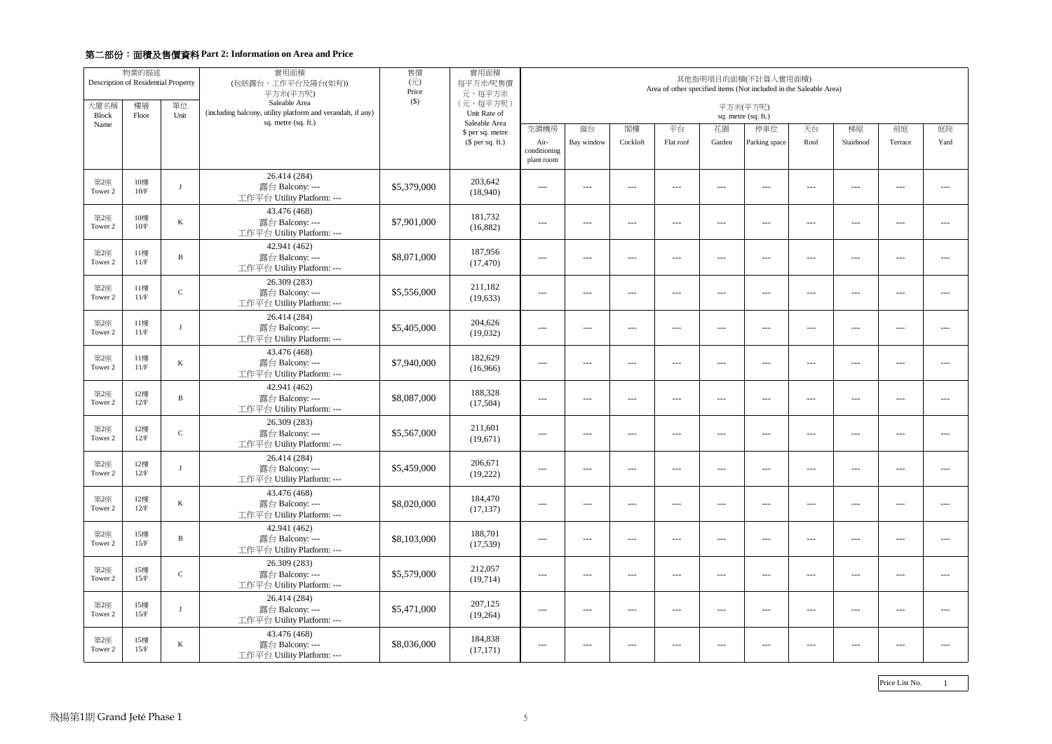|                      | 物業的描述<br>Description of Residential Property |               | 實用面積<br>(包括露台,工作平台及陽台(如有))<br>平方米(平方呎)                                      | 售價<br>$(\overrightarrow{\pi})$<br>Price | 實用面積<br>每平方米/呎售價<br>元,每平方米        | 其他指明項目的面積(不計算入實用面積)<br>Area of other specified items (Not included in the Saleable Area) |                                                                                                                                                                                                                                                                                                                                                                                              |          |                                             |                                     |               |         |                                          |                                        |               |
|----------------------|----------------------------------------------|---------------|-----------------------------------------------------------------------------|-----------------------------------------|-----------------------------------|------------------------------------------------------------------------------------------|----------------------------------------------------------------------------------------------------------------------------------------------------------------------------------------------------------------------------------------------------------------------------------------------------------------------------------------------------------------------------------------------|----------|---------------------------------------------|-------------------------------------|---------------|---------|------------------------------------------|----------------------------------------|---------------|
| 大廈名稱<br><b>Block</b> | 樓層<br>Floor                                  | 單位<br>Unit    | Saleable Area<br>(including balcony, utility platform and verandah, if any) | $($ \$)                                 | (元,每平方呎)<br>Unit Rate of          | 平方米(平方呎)<br>sq. metre (sq. ft.)                                                          |                                                                                                                                                                                                                                                                                                                                                                                              |          |                                             |                                     |               |         |                                          |                                        |               |
| Name                 |                                              |               | sq. metre (sq. ft.)                                                         |                                         | Saleable Area<br>\$ per sq. metre | 空調機房                                                                                     | 窗台                                                                                                                                                                                                                                                                                                                                                                                           | 閣樓       | 平台                                          | 花園                                  | 停車位           | 天台      | 梯屋                                       | 前庭                                     | 庭院            |
|                      |                                              |               |                                                                             |                                         | $$$ per sq. ft.)                  | Air-<br>conditioning<br>plant room                                                       | Bay window                                                                                                                                                                                                                                                                                                                                                                                   | Cockloft | Flat roof                                   | Garden                              | Parking space | Roof    | Stairhood                                | Terrace                                | Yard          |
| 第2座<br>Tower 2       | 10樓<br>10/F                                  |               | 26.414 (284)<br>露台 Balcony: ---<br>工作平台 Utility Platform: ---               | \$5,379,000                             | 203,642<br>(18,940)               | $\frac{1}{2}$                                                                            | $---$                                                                                                                                                                                                                                                                                                                                                                                        | ---      | $---$                                       | $  -$                               | $- - -$       | $- - -$ | $- - -$                                  | $---$                                  | $\frac{1}{2}$ |
| 第2座<br>Tower 2       | 10樓<br>10/F                                  | K             | 43.476 (468)<br>露台 Balcony: ---<br>工作平台 Utility Platform: ---               | \$7,901,000                             | 181,732<br>(16,882)               | $- - -$                                                                                  | $\frac{1}{2} \frac{1}{2} \frac{1}{2} \frac{1}{2} \frac{1}{2} \frac{1}{2} \frac{1}{2} \frac{1}{2} \frac{1}{2} \frac{1}{2} \frac{1}{2} \frac{1}{2} \frac{1}{2} \frac{1}{2} \frac{1}{2} \frac{1}{2} \frac{1}{2} \frac{1}{2} \frac{1}{2} \frac{1}{2} \frac{1}{2} \frac{1}{2} \frac{1}{2} \frac{1}{2} \frac{1}{2} \frac{1}{2} \frac{1}{2} \frac{1}{2} \frac{1}{2} \frac{1}{2} \frac{1}{2} \frac{$ | $- - -$  | $---$                                       | $- - -$                             | $- - -$       | $  -$   | $  -$                                    | $- - -$                                | $- - -$       |
| 第2座<br>Tower 2       | 11樓<br>11/F                                  | B             | 42.941 (462)<br>露台 Balcony: ---<br>工作平台 Utility Platform: ---               | \$8,071,000                             | 187,956<br>(17, 470)              | $- - -$                                                                                  | $---$                                                                                                                                                                                                                                                                                                                                                                                        | $---$    | $---$                                       | $---$                               | $- - -$       | $---$   | $- - -$                                  | $---$                                  | $\frac{1}{2}$ |
| 第2座<br>Tower 2       | 11樓<br>11/F                                  | $\mathcal{C}$ | 26.309 (283)<br>露台 Balcony: ---<br>工作平台 Utility Platform: ---               | \$5,556,000                             | 211,182<br>(19, 633)              | $- - -$                                                                                  | $---$                                                                                                                                                                                                                                                                                                                                                                                        | $---$    | $---$                                       | $---$                               | $- - -$       | $---$   | $---$                                    | ---                                    | $- - -$       |
| 第2座<br>Tower 2       | 11樓<br>11/F                                  | - 1           | 26.414 (284)<br>露台 Balcony: ---<br>工作平台 Utility Platform: ---               | \$5,405,000                             | 204,626<br>(19,032)               | $- - -$                                                                                  | $- - -$                                                                                                                                                                                                                                                                                                                                                                                      | $- - -$  | $\qquad \qquad - -$                         | $  -$                               | $- - -$       | $  -$   | $- - -$                                  | $- - -$                                | $---$         |
| 第2座<br>Tower 2       | 11樓<br>11/F                                  | $\bf K$       | 43.476 (468)<br>露台 Balcony: ---<br>工作平台 Utility Platform: ---               | \$7,940,000                             | 182,629<br>(16,966)               | $---$                                                                                    | $---$                                                                                                                                                                                                                                                                                                                                                                                        | $---$    | $---$                                       | $---$                               | $---$         | $---$   | $\hspace{0.05cm} \ldots \hspace{0.05cm}$ | ---                                    | $---$         |
| 第2座<br>Tower 2       | 12樓<br>12/F                                  | B             | 42.941 (462)<br>露台 Balcony: ---<br>工作平台 Utility Platform: ---               | \$8,087,000                             | 188,328<br>(17,504)               | $- - -$                                                                                  | $\frac{1}{2} \frac{1}{2} \frac{1}{2} \frac{1}{2} \frac{1}{2} \frac{1}{2} \frac{1}{2} \frac{1}{2} \frac{1}{2} \frac{1}{2} \frac{1}{2} \frac{1}{2} \frac{1}{2} \frac{1}{2} \frac{1}{2} \frac{1}{2} \frac{1}{2} \frac{1}{2} \frac{1}{2} \frac{1}{2} \frac{1}{2} \frac{1}{2} \frac{1}{2} \frac{1}{2} \frac{1}{2} \frac{1}{2} \frac{1}{2} \frac{1}{2} \frac{1}{2} \frac{1}{2} \frac{1}{2} \frac{$ | $---$    | $\frac{1}{2}$                               | $- - -$                             | $- - -$       | $  -$   | $  -$                                    | $- - -$                                | $- - -$       |
| 第2座<br>Tower 2       | 12樓<br>12/F                                  | $\mathbf C$   | 26.309 (283)<br>露台 Balcony: ---<br>工作平台 Utility Platform: ---               | \$5,567,000                             | 211,601<br>(19,671)               | $\frac{1}{2}$                                                                            | $---$                                                                                                                                                                                                                                                                                                                                                                                        | $---$    | $---$                                       | $---$                               | $--$          | $---$   | $---$                                    | ---                                    | $\frac{1}{2}$ |
| 第2座<br>Tower 2       | 12樓<br>12/F                                  |               | 26.414 (284)<br>露台 Balcony: ---<br>工作平台 Utility Platform: ---               | \$5,459,000                             | 206,671<br>(19,222)               | $---$                                                                                    | $---$                                                                                                                                                                                                                                                                                                                                                                                        | $---$    | $---$                                       | $---$                               | $---$         | $  -$   | $- - -$                                  | ---                                    | ---           |
| 第2座<br>Tower 2       | 12樓<br>12/F                                  | $\bf K$       | 43.476 (468)<br>露台 Balcony: ---<br>工作平台 Utility Platform: ---               | \$8,020,000                             | 184,470<br>(17, 137)              | $\qquad \qquad - -$                                                                      | $---$                                                                                                                                                                                                                                                                                                                                                                                        | $---$    | $\scriptstyle \cdots$ $\scriptstyle \cdots$ | $\hspace{0.05cm}---\hspace{0.05cm}$ | $- - -$       | $---$   | $  -$                                    | $\scriptstyle\cdots\scriptstyle\cdots$ | $- - -$       |
| 第2座<br>Tower 2       | 15樓<br>15/F                                  | $\, {\bf B}$  | 42.941 (462)<br>露台 Balcony: ---<br>工作平台 Utility Platform: ---               | \$8,103,000                             | 188,701<br>(17,539)               | $---$                                                                                    | $---$                                                                                                                                                                                                                                                                                                                                                                                        | $---$    | $---$                                       | $---$                               | $--$          | $---$   | $---$                                    | ---                                    | ---           |
| 第2座<br>Tower 2       | 15樓<br>15/F                                  | ${\bf C}$     | 26.309 (283)<br>露台 Balcony: ---<br>工作平台 Utility Platform: ---               | \$5,579,000                             | 212,057<br>(19,714)               | $- - -$                                                                                  | $---$                                                                                                                                                                                                                                                                                                                                                                                        | $- - -$  | $- -$                                       | $- - -$                             | $- - -$       | $---$   | $- - -$                                  | $- - -$                                | $- - -$       |
| 第2座<br>Tower 2       | 15樓<br>$15/F$                                | $\lceil$      | 26.414 (284)<br>露台 Balcony: ---<br>工作平台 Utility Platform: ---               | \$5,471,000                             | 207,125<br>(19,264)               | $---$                                                                                    | $---$                                                                                                                                                                                                                                                                                                                                                                                        | $---$    | $---$                                       | $---$                               | $---$         | $---$   | $---$                                    | $---$                                  | $- - -$       |
| 第2座<br>Tower 2       | 15樓<br>15/F                                  | $\bf K$       | 43.476 (468)<br>露台 Balcony: ---<br>工作平台 Utility Platform: ---               | \$8,036,000                             | 184,838<br>(17, 171)              | $---$                                                                                    | $---$                                                                                                                                                                                                                                                                                                                                                                                        | $---$    | $--$                                        | $---$                               | $---$         | $---$   | $---$                                    | $---$                                  | $---$         |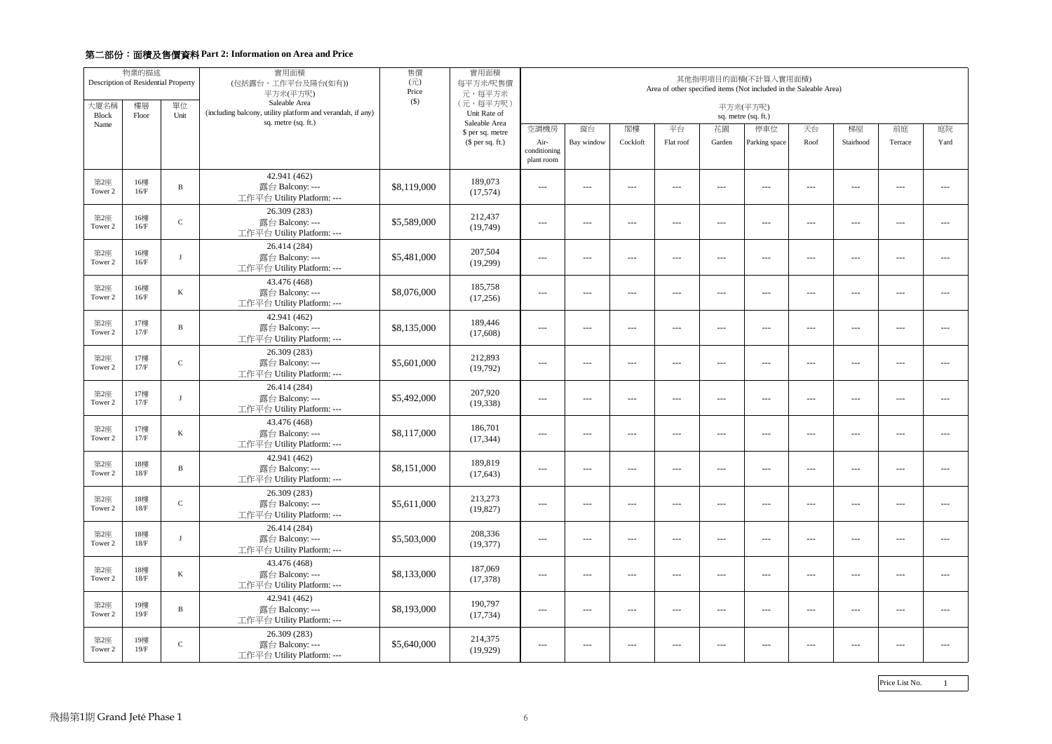|                      | 物業的描述<br>Description of Residential Property |               | 實用面積<br>(包括露台,工作平台及陽台(如有))<br>平方米(平方呎)                                      | 售價<br>$(\overrightarrow{\pi})$<br>Price<br>$($ \$) | 實用面積<br>每平方米/呎售價<br>元,每平方米        | 其他指明項目的面積(不計算入實用面積)<br>Area of other specified items (Not included in the Saleable Area) |                                                                                                                                                                                                                                                                                                                                                                                              |          |                                             |         |               |         |           |                                                                                                                                                                                                                                                                                                                                                                                              |               |
|----------------------|----------------------------------------------|---------------|-----------------------------------------------------------------------------|----------------------------------------------------|-----------------------------------|------------------------------------------------------------------------------------------|----------------------------------------------------------------------------------------------------------------------------------------------------------------------------------------------------------------------------------------------------------------------------------------------------------------------------------------------------------------------------------------------|----------|---------------------------------------------|---------|---------------|---------|-----------|----------------------------------------------------------------------------------------------------------------------------------------------------------------------------------------------------------------------------------------------------------------------------------------------------------------------------------------------------------------------------------------------|---------------|
| 大廈名稱<br><b>Block</b> | 樓層<br>Floor                                  | 單位<br>Unit    | Saleable Area<br>(including balcony, utility platform and verandah, if any) |                                                    | (元,每平方呎)<br>Unit Rate of          | 平方米(平方呎)<br>sq. metre (sq. ft.)                                                          |                                                                                                                                                                                                                                                                                                                                                                                              |          |                                             |         |               |         |           |                                                                                                                                                                                                                                                                                                                                                                                              |               |
| Name                 |                                              |               | sq. metre (sq. ft.)                                                         |                                                    | Saleable Area<br>\$ per sq. metre | 空調機房                                                                                     | 窗台                                                                                                                                                                                                                                                                                                                                                                                           | 閣樓       | 平台                                          | 花園      | 停車位           | 天台      | 梯屋        | 前庭                                                                                                                                                                                                                                                                                                                                                                                           | 庭院            |
|                      |                                              |               |                                                                             |                                                    | $$$ per sq. ft.)                  | Air-<br>conditioning<br>plant room                                                       | Bay window                                                                                                                                                                                                                                                                                                                                                                                   | Cockloft | Flat roof                                   | Garden  | Parking space | Roof    | Stairhood | Terrace                                                                                                                                                                                                                                                                                                                                                                                      | Yard          |
| 第2座<br>Tower 2       | 16樓<br>16/F                                  | B             | 42.941 (462)<br>露台 Balcony: ---<br>工作平台 Utility Platform: ---               | \$8,119,000                                        | 189,073<br>(17,574)               | $- - -$                                                                                  | $- - -$                                                                                                                                                                                                                                                                                                                                                                                      | $- - -$  | $---$                                       | $  -$   | $- - -$       | $  -$   | $- - -$   | $- - -$                                                                                                                                                                                                                                                                                                                                                                                      | $\frac{1}{2}$ |
| 第2座<br>Tower 2       | 16樓<br>16/F                                  | $\mathcal{C}$ | 26.309 (283)<br>露台 Balcony: ---<br>工作平台 Utility Platform: ---               | \$5,589,000                                        | 212,437<br>(19,749)               | $- - -$                                                                                  | $\frac{1}{2} \frac{1}{2} \frac{1}{2} \frac{1}{2} \frac{1}{2} \frac{1}{2} \frac{1}{2} \frac{1}{2} \frac{1}{2} \frac{1}{2} \frac{1}{2} \frac{1}{2} \frac{1}{2} \frac{1}{2} \frac{1}{2} \frac{1}{2} \frac{1}{2} \frac{1}{2} \frac{1}{2} \frac{1}{2} \frac{1}{2} \frac{1}{2} \frac{1}{2} \frac{1}{2} \frac{1}{2} \frac{1}{2} \frac{1}{2} \frac{1}{2} \frac{1}{2} \frac{1}{2} \frac{1}{2} \frac{$ | $---$    | $---$                                       | $---$   | $- - -$       | $  -$   | $  -$     | $- - -$                                                                                                                                                                                                                                                                                                                                                                                      | $- - -$       |
| 第2座<br>Tower 2       | 16樓<br>16/F                                  | $\mathbf{J}$  | 26.414 (284)<br>露台 Balcony: ---<br>工作平台 Utility Platform: ---               | \$5,481,000                                        | 207,504<br>(19,299)               | $- - -$                                                                                  | $- - -$                                                                                                                                                                                                                                                                                                                                                                                      | $- - -$  | $\qquad \qquad - -$                         | $- - -$ | $- - -$       | $  -$   | $- - -$   | $---$                                                                                                                                                                                                                                                                                                                                                                                        | $\frac{1}{2}$ |
| 第2座<br>Tower 2       | 16樓<br>16/F                                  | K             | 43.476 (468)<br>露台 Balcony: ---<br>工作平台 Utility Platform: ---               | \$8,076,000                                        | 185,758<br>(17,256)               | $\frac{1}{2}$                                                                            | $- - -$                                                                                                                                                                                                                                                                                                                                                                                      | $- - -$  | $\qquad \qquad - -$                         | $  -$   | $- - -$       | $- - -$ | $- - -$   | $---$                                                                                                                                                                                                                                                                                                                                                                                        | $\frac{1}{2}$ |
| 第2座<br>Tower 2       | 17樓<br>17/F                                  | B             | 42.941 (462)<br>露台 Balcony: ---<br>工作平台 Utility Platform: ---               | \$8,135,000                                        | 189,446<br>(17,608)               | $- - -$                                                                                  | $\frac{1}{2} \frac{1}{2} \frac{1}{2} \frac{1}{2} \frac{1}{2} \frac{1}{2} \frac{1}{2} \frac{1}{2} \frac{1}{2} \frac{1}{2} \frac{1}{2} \frac{1}{2} \frac{1}{2} \frac{1}{2} \frac{1}{2} \frac{1}{2} \frac{1}{2} \frac{1}{2} \frac{1}{2} \frac{1}{2} \frac{1}{2} \frac{1}{2} \frac{1}{2} \frac{1}{2} \frac{1}{2} \frac{1}{2} \frac{1}{2} \frac{1}{2} \frac{1}{2} \frac{1}{2} \frac{1}{2} \frac{$ | $- - -$  | $  -$                                       | $  -$   | $  -$         | $  -$   | $  -$     | $- - -$                                                                                                                                                                                                                                                                                                                                                                                      | $- - -$       |
| 第2座<br>Tower 2       | 17樓<br>17/F                                  | $\mathbf C$   | 26.309 (283)<br>露台 Balcony: ---<br>工作平台 Utility Platform: ---               | \$5,601,000                                        | 212,893<br>(19,792)               | $- - -$                                                                                  | $- - -$                                                                                                                                                                                                                                                                                                                                                                                      | $---$    | $---$                                       | $  -$   | $- - -$       | $  -$   | $- - -$   | $---$                                                                                                                                                                                                                                                                                                                                                                                        | $\frac{1}{2}$ |
| 第2座<br>Tower 2       | 17樓<br>17/F                                  |               | 26.414 (284)<br>露台 Balcony: ---<br>工作平台 Utility Platform: ---               | \$5,492,000                                        | 207,920<br>(19, 338)              | $---$                                                                                    | $---$                                                                                                                                                                                                                                                                                                                                                                                        | $---$    | $---$                                       | $---$   | $---$         | $---$   | $---$     | ---                                                                                                                                                                                                                                                                                                                                                                                          | $\frac{1}{2}$ |
| 第2座<br>Tower 2       | 17樓<br>17/F                                  | K             | 43.476 (468)<br>露台 Balcony: ---<br>工作平台 Utility Platform: ---               | \$8,117,000                                        | 186,701<br>(17, 344)              | $- - -$                                                                                  | $- - -$                                                                                                                                                                                                                                                                                                                                                                                      | $- - -$  | $\qquad \qquad - -$                         | $- - -$ | $- - -$       | $---$   | $- - -$   | $- - -$                                                                                                                                                                                                                                                                                                                                                                                      | $\frac{1}{2}$ |
| 第2座<br>Tower 2       | 18樓<br>$18/F$                                | B             | 42.941 (462)<br>露台 Balcony: ---<br>工作平台 Utility Platform: ---               | \$8,151,000                                        | 189,819<br>(17, 643)              | $---$                                                                                    | $---$                                                                                                                                                                                                                                                                                                                                                                                        | $---$    | $---$                                       | $---$   | $---$         | $---$   | $---$     | ---                                                                                                                                                                                                                                                                                                                                                                                          | ---           |
| 第2座<br>Tower 2       | 18樓<br>18/F                                  | $\mathbf C$   | 26.309 (283)<br>露台 Balcony: ---<br>工作平台 Utility Platform: ---               | \$5,611,000                                        | 213,273<br>(19, 827)              | $---$                                                                                    | $---$                                                                                                                                                                                                                                                                                                                                                                                        | $---$    | $\scriptstyle \cdots$ $\scriptstyle \cdots$ | $---$   | $- - -$       | $---$   | $---$     | $\frac{1}{2} \frac{1}{2} \frac{1}{2} \frac{1}{2} \frac{1}{2} \frac{1}{2} \frac{1}{2} \frac{1}{2} \frac{1}{2} \frac{1}{2} \frac{1}{2} \frac{1}{2} \frac{1}{2} \frac{1}{2} \frac{1}{2} \frac{1}{2} \frac{1}{2} \frac{1}{2} \frac{1}{2} \frac{1}{2} \frac{1}{2} \frac{1}{2} \frac{1}{2} \frac{1}{2} \frac{1}{2} \frac{1}{2} \frac{1}{2} \frac{1}{2} \frac{1}{2} \frac{1}{2} \frac{1}{2} \frac{$ | $---$         |
| 第2座<br>Tower 2       | 18樓<br>18/F                                  | $\mathbf{J}$  | 26.414 (284)<br>露台 Balcony: ---<br>工作平台 Utility Platform: ---               | \$5,503,000                                        | 208,336<br>(19,377)               | $---$                                                                                    | $---$                                                                                                                                                                                                                                                                                                                                                                                        | $---$    | $---$                                       | $---$   | $--$          | $---$   | $---$     | ---                                                                                                                                                                                                                                                                                                                                                                                          | $---$         |
| 第2座<br>Tower 2       | 18樓<br>18/F                                  | $\bf K$       | 43.476 (468)<br>露台 Balcony: ---<br>工作平台 Utility Platform: ---               | \$8,133,000                                        | 187,069<br>(17,378)               | $--$                                                                                     | $---$                                                                                                                                                                                                                                                                                                                                                                                        | $---$    | $---$                                       | $---$   | $---$         | $---$   | $---$     | $---$                                                                                                                                                                                                                                                                                                                                                                                        | $---$         |
| 第2座<br>Tower 2       | 19樓<br>19/F                                  | B             | 42.941 (462)<br>露台 Balcony: ---<br>工作平台 Utility Platform: ---               | \$8,193,000                                        | 190,797<br>(17, 734)              | $---$                                                                                    | $---$                                                                                                                                                                                                                                                                                                                                                                                        | $--\,$   | $---$                                       | $---$   | $---$         | $---$   | $---$     | $---$                                                                                                                                                                                                                                                                                                                                                                                        | $---$         |
| 第2座<br>Tower 2       | 19樓<br>19/F                                  | $\mathbf C$   | 26.309 (283)<br>露台 Balcony: ---<br>工作平台 Utility Platform: ---               | \$5,640,000                                        | 214,375<br>(19, 929)              | $---$                                                                                    | $---$                                                                                                                                                                                                                                                                                                                                                                                        | $---$    | $---$                                       | $---$   | $--$          | $---$   | $---$     | ---                                                                                                                                                                                                                                                                                                                                                                                          | $---$         |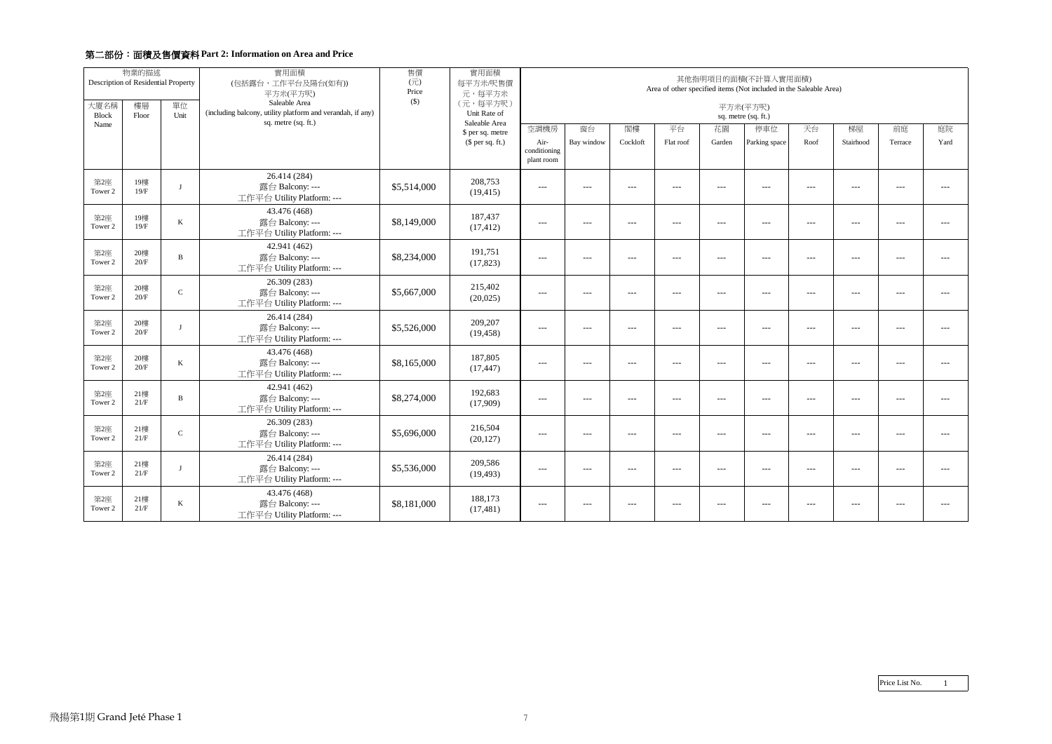|                      | 物業的描述<br>Description of Residential Property |              | 實用面積<br>(包括露台,工作平台及陽台(如有))<br>平方米(平方呎)<br>Saleable Area                           | 售價<br>$(\overrightarrow{\pi})$<br>Price<br>$($)$ | 實用面積<br>每平方米/呎售價<br>元,每平方米<br>(元,每平方呎) | 其他指明項目的面積(不計算入實用面積)<br>Area of other specified items (Not included in the Saleable Area) |                |                      |               |                      |                      |                      |                                             |                                          |                                          |
|----------------------|----------------------------------------------|--------------|-----------------------------------------------------------------------------------|--------------------------------------------------|----------------------------------------|------------------------------------------------------------------------------------------|----------------|----------------------|---------------|----------------------|----------------------|----------------------|---------------------------------------------|------------------------------------------|------------------------------------------|
| 大廈名稱<br><b>Block</b> | 樓層<br>Floor                                  | 單位<br>Unit   | (including balcony, utility platform and verandah, if any)<br>sq. metre (sq. ft.) |                                                  | Unit Rate of<br>Saleable Area          | 平方米(平方呎)<br>sq. metre (sq. ft.)                                                          |                |                      |               |                      |                      |                      |                                             |                                          |                                          |
| Name                 |                                              |              |                                                                                   |                                                  | \$ per sq. metre                       | 空調機房                                                                                     | 窗台             | 閣樓                   | 平台            | 花園                   | 停車位                  | 天台                   | 梯屋                                          | 前庭                                       | 庭院                                       |
|                      |                                              |              |                                                                                   |                                                  | $$$ per sq. ft.)                       | Air-<br>conditioning<br>plant room                                                       | Bay window     | Cockloft             | Flat roof     | Garden               | Parking space        | Roof                 | Stairhood                                   | Terrace                                  | Yard                                     |
| 第2座<br>Tower 2       | 19樓<br>19/F                                  | $\mathbf{I}$ | 26.414 (284)<br>露台 Balcony: ---<br>工作平台 Utility Platform: ---                     | \$5,514,000                                      | 208,753<br>(19, 415)                   | $---$                                                                                    | ---            | $\sim$ $\sim$ $\sim$ | $\frac{1}{2}$ | $\sim$ $\sim$ $\sim$ | $---$                | $---$                | $---$                                       | $\cdots$                                 | $\cdots$                                 |
| 第2座<br>Tower 2       | 19樓<br>19/F                                  | $\bf K$      | 43.476 (468)<br>露台 Balcony: ---<br>工作平台 Utility Platform: ---                     | \$8,149,000                                      | 187,437<br>(17, 412)                   | $   \,$                                                                                  | $\overline{a}$ | $---$                | $\frac{1}{2}$ | $\sim$ $\sim$ $\sim$ | $\sim$ $\sim$ $\sim$ | $\sim$ $\sim$ $\sim$ | $\sim$ $\sim$ $\sim$                        | $\sim$ $\sim$ $\sim$                     | $\sim$ $\sim$ $\sim$                     |
| 第2座<br>Tower 2       | 20樓<br>$20/F$                                | $\bf{B}$     | 42.941 (462)<br>露台 Balcony: ---<br>工作平台 Utility Platform: ---                     | \$8,234,000                                      | 191,751<br>(17, 823)                   | $\sim$ $\sim$ $\sim$                                                                     | $ -$           | $---$                | $---$         | $\sim$ $\sim$ $\sim$ | $---$                | $--$                 | $\sim$ $\sim$ $\sim$                        | $\hspace{0.05cm} \ldots \hspace{0.05cm}$ | $\sim$ $\sim$ $\sim$                     |
| 第2座<br>Tower 2       | 20樓<br>20/F                                  | $\mathbf C$  | 26.309 (283)<br>露台 Balcony: ---<br>工作平台 Utility Platform: ---                     | \$5,667,000                                      | 215,402<br>(20,025)                    | $\qquad \qquad - -$                                                                      | $ -$           | $---$                | $---$         | $---$                | $\frac{1}{2}$        | $--$                 | $\qquad \qquad - -$                         | ---                                      | $---$                                    |
| 第2座<br>Tower 2       | 20樓<br>20/F                                  | $\mathbf{I}$ | 26.414 (284)<br>露台 Balcony: ---<br>工作平台 Utility Platform: ---                     | \$5,526,000                                      | 209,207<br>(19, 458)                   | $- - -$                                                                                  | ---            | $\qquad \qquad - -$  | $---$         | $\qquad \qquad - -$  | $\qquad \qquad - -$  | $\overline{a}$       | $\scriptstyle \cdots$ $\scriptstyle \cdots$ | $---$                                    | $\qquad \qquad - -$                      |
| 第2座<br>Tower 2       | 20樓<br>20/F                                  | $\bf K$      | 43.476 (468)<br>露台 Balcony: ---<br>工作平台 Utility Platform: ---                     | \$8,165,000                                      | 187,805<br>(17, 447)                   | $- - -$                                                                                  | ---            | $\qquad \qquad - -$  | $---$         | $\qquad \qquad - -$  | $\qquad \qquad - -$  | $\overline{a}$       | $\scriptstyle \cdots$ $\scriptstyle \cdots$ | ---                                      | $\qquad \qquad - -$                      |
| 第2座<br>Tower 2       | 21樓<br>21/F                                  | B            | 42.941 (462)<br>露台 Balcony: ---<br>工作平台 Utility Platform: ---                     | \$8,274,000                                      | 192,683<br>(17,909)                    | $- - -$                                                                                  | $---$          | $\qquad \qquad - -$  | $  -$         | $\frac{1}{2}$        | $  -$                | $  -$                | $  -$                                       | $\scriptstyle\cdots\scriptstyle\cdots$   | $\sim$ $\sim$ $\sim$                     |
| 第2座<br>Tower 2       | 21樓<br>21/F                                  | $\mathbf C$  | 26.309 (283)<br>露台 Balcony: ---<br>工作平台 Utility Platform: ---                     | \$5,696,000                                      | 216.504<br>(20, 127)                   | $\sim$ $\sim$ $\sim$                                                                     | $---$          | $\sim$ $\sim$ $\sim$ | $\frac{1}{2}$ | $\overline{a}$       | $\overline{a}$       | $\qquad \qquad -$    | $---$                                       | $  -$                                    | $\sim$ $\sim$ $\sim$                     |
| 第2座<br>Tower 2       | 21樓<br>21/F                                  | $\mathbf{J}$ | 26.414 (284)<br>露台 Balcony: ---<br>工作平台 Utility Platform: ---                     | \$5,536,000                                      | 209,586<br>(19, 493)                   | $---$                                                                                    | $---$          | $---$                | $\frac{1}{2}$ | $\frac{1}{2}$        | $\frac{1}{2}$        | $---$                | $  -$                                       | $---$                                    | $---$                                    |
| 第2座<br>Tower 2       | 21樓<br>21/F                                  | $\bf K$      | 43.476 (468)<br>露台 Balcony: ---<br>工作平台 Utility Platform: ---                     | \$8,181,000                                      | 188,173<br>(17, 481)                   | $\hspace{0.05cm}---$                                                                     | $ -$           | $---$                | $- - -$       | $  -$                | $---$                | $- - -$              | $- - -$                                     | ---                                      | $\hspace{0.05cm} \ldots \hspace{0.05cm}$ |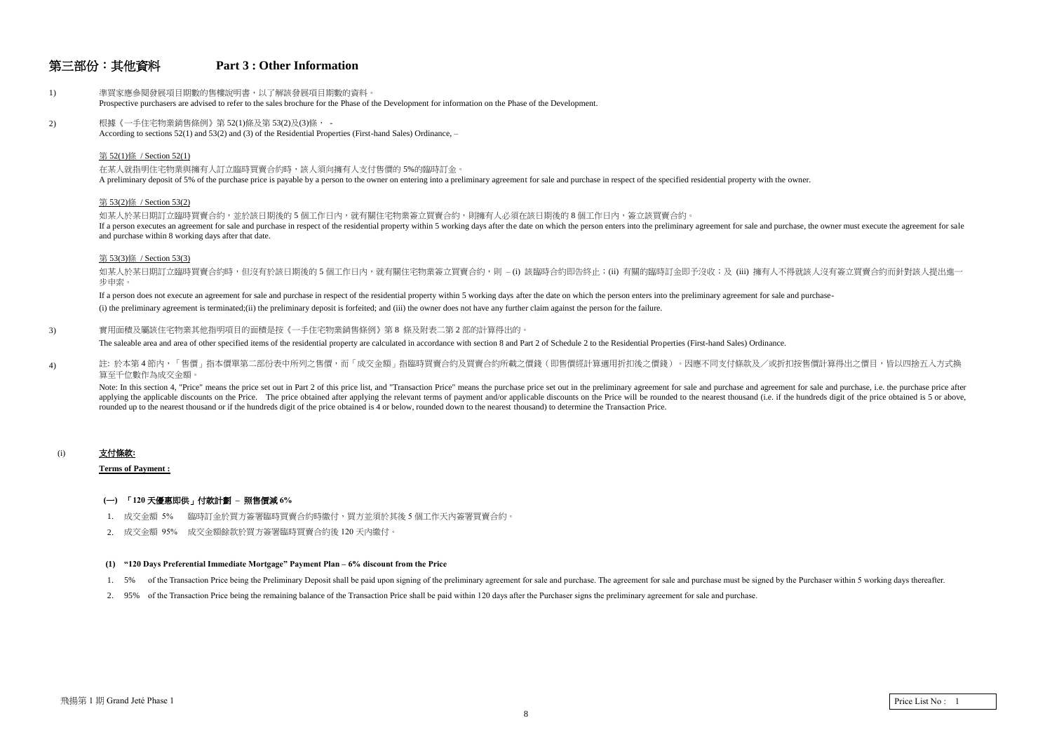## 第三部份︰其他資料 **Part 3 : Other Information**

1) 準買家應參閱發展項目期數的售樓說明書,以了解該發展項目期數的資料。 Prospective purchasers are advised to refer to the sales brochure for the Phase of the Development for information on the Phase of the Development. 2) 根據《一手住宅物業銷售條例》第 52(1)條及第 53(2)及(3)條, -According to sections 52(1) and 53(2) and (3) of the Residential Properties (First-hand Sales) Ordinance, – 第 52(1)條 / Section 52(1) 在某人就指明住宅物業與擁有人訂立臨時買賣合約時,該人須向擁有人支付售價的 5%的臨時訂金。 A preliminary deposit of 5% of the purchase price is payable by a person to the owner on entering into a preliminary agreement for sale and purchase in respect of the specified residential property with the owner. 第 53(2)條 / Section 53(2) 如某人於某日期訂立臨時買賣合約,並於該日期後的 5 個工作日內,就有關住宅物業簽立買賣合約,則擁有人必須在該日期後的 8 個工作日內,簽立該買賣合約。 If a person executes an agreement for sale and purchase in respect of the residential property within 5 working days after the date on which the person enters into the preliminary agreement for sale and purchase, the owner and purchase within 8 working days after that date.

If a person does not execute an agreement for sale and purchase in respect of the residential property within 5 working days after the date on which the person enters into the preliminary agreement for sale and purchase-(i) the preliminary agreement is terminated;(ii) the preliminary deposit is forfeited; and (iii) the owner does not have any further claim against the person for the failure.

3) 實用面積及屬該住宅物業其他指明項目的面積是按《一手住宅物業銷售條例》第8條及附表二第2部的計算得出的。

#### 第 53(3)條 / Section 53(3)

如某人於某日期訂立臨時買賣合約時,但沒有於該日期後的 5 個工作日內,就有關住宅物業簽立買賣合約,則 – (i) 該臨時合約即告終止;(ii) 有關的臨時訂金即予沒收;及 (iii) 擁有人不得就該人沒有簽立買賣合約而針對該人提出進一 步申索。

Note: In this section 4, "Price" means the price set out in Part 2 of this price list, and "Transaction Price" means the purchase price set out in the preliminary agreement for sale and purchase and agreement for sale and applying the applicable discounts on the Price. The price obtained after applying the relevant terms of payment and/or applicable discounts on the Price will be rounded to the nearest thousand (i.e. if the hundreds digit o rounded up to the nearest thousand or if the hundreds digit of the price obtained is 4 or below, rounded down to the nearest thousand) to determine the Transaction Price.

The saleable area and area of other specified items of the residential property are calculated in accordance with section 8 and Part 2 of Schedule 2 to the Residential Properties (First-hand Sales) Ordinance.

4) 註: 於本第4節內,「售價」指本價單第二部份表中所列之售價,而「成交金額」指臨時買賣合約及買賣合約所載之價錢(即售價經計算適用折扣後之價錢)。因應不同支付條款及/或折扣按售價計算得出之價目,皆以四捨五入方式換 算至千位數作為成交金額

#### (i) 支付條款**:**

**Terms of Payment :** 

#### **(**一**)** ˬ**120** ⣑優惠即供˭付款計劃 **–** 照售價減 **6%**

- 1. 成交金額 5% 臨時訂金於買方簽署臨時買賣合約時繳付,買方並須於其後 5 個工作天內簽署買賣合約。
- 2. 成交金額 95% 成交金額餘款於買方簽署臨時買賣合約後 120 天內繳付。

#### **(1) "120 Days Preferential Immediate Mortgage" Payment Plan – 6% discount from the Price**

- 1. 5% of the Transaction Price being the Preliminary Deposit shall be paid upon signing of the preliminary agreement for sale and purchase. The agreement for sale and purchase must be signed by the Purchaser within 5 worki
- 2. 95% of the Transaction Price being the remaining balance of the Transaction Price shall be paid within 120 days after the Purchaser signs the preliminary agreement for sale and purchase.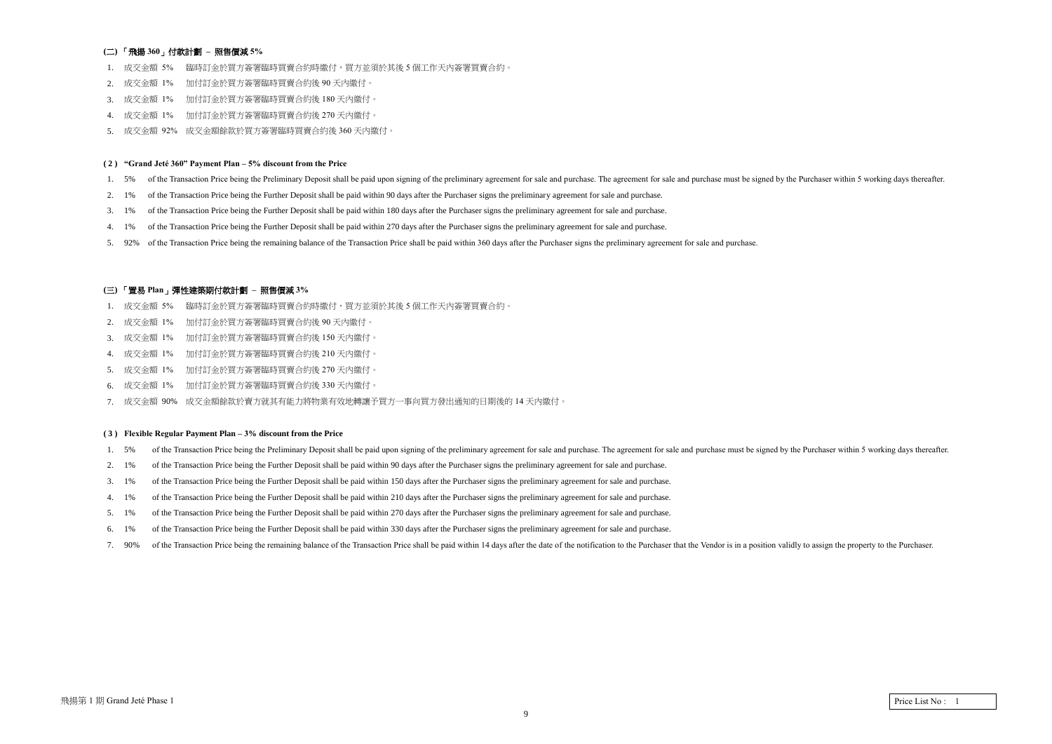### **(**Ḵ**)** ˬ飛㎂ **360**˭付款計劃 **–** 照售價減 **5%**

- 1. 成交金額 5% 臨時訂金於買方簽署臨時買賣合約時繳付,買方並須於其後 5 個工作天內簽署買賣合約。
- 2. 成交金額 1% 加付訂金於買方簽署臨時買賣合約後 90 天內繳付。
- 3. 成交金額 1% 加付訂金於買方簽署臨時買賣合約後 180 天內繳付。
- 4. 成交金額 1% 加付訂金於買方簽署臨時買賣合約後 270 天內繳付。
- 5. 成交金額 92% 成交金額餘款於買方簽署臨時買賣合約後 360 天內繳付。

#### **( 2 ) "Grand Jeté 360" Payment Plan – 5% discount from the Price**

- 1. 5% of the Transaction Price being the Preliminary Deposit shall be paid upon signing of the preliminary agreement for sale and purchase. The agreement for sale and purchase must be signed by the Purchaser within 5 worki
- 2. 1% of the Transaction Price being the Further Deposit shall be paid within 90 days after the Purchaser signs the preliminary agreement for sale and purchase.
- 3. 1% of the Transaction Price being the Further Deposit shall be paid within 180 days after the Purchaser signs the preliminary agreement for sale and purchase.
- 4. 1% of the Transaction Price being the Further Deposit shall be paid within 270 days after the Purchaser signs the preliminary agreement for sale and purchase.
- 5. 92% of the Transaction Price being the remaining balance of the Transaction Price shall be paid within 360 days after the Purchaser signs the preliminary agreement for sale and purchase.

#### **(**三**)** ˬ置易 **Plan**˭彈性建築期付款計劃 **–** 照售價減 **3%**

- 1. 成交金額 5% 臨時訂金於買方簽署臨時買賣合約時繳付,買方並須於其後 5 個工作天內簽署買賣合約。
- 2. 成交金額 1% 加付訂金於買方簽署臨時買賣合約後 90 天內繳付。
- 3. 成交金額 1% 加付訂金於買方簽署臨時買賣合約後 150 天內繳付。
- 4. 成交金額 1% 加付訂金於買方簽署臨時買賣合約後 210 天內繳付。
- 5. 成交金額 1% 加付訂金於買方簽署臨時買賣合約後 270 天內繳付。
- 6. 成交金額 1% 加付訂金於買方簽署臨時買賣合約後 330 天內繳付。
- 7. 成交金額 90% 成交金額餘款於賣方就其有能力將物業有效地轉讓予買方一事向買方發出通知的日期後的 14 天內繳付。

#### **( 3 ) Flexible Regular Payment Plan – 3% discount from the Price**

- 1. 5% of the Transaction Price being the Preliminary Deposit shall be paid upon signing of the preliminary agreement for sale and purchase. The agreement for sale and purchase must be signed by the Purchaser within 5 worki
- 2. 1% of the Transaction Price being the Further Deposit shall be paid within 90 days after the Purchaser signs the preliminary agreement for sale and purchase.
- 3. 1% of the Transaction Price being the Further Deposit shall be paid within 150 days after the Purchaser signs the preliminary agreement for sale and purchase.
- 4. 1% of the Transaction Price being the Further Deposit shall be paid within 210 days after the Purchaser signs the preliminary agreement for sale and purchase.
- 5. 1% of the Transaction Price being the Further Deposit shall be paid within 270 days after the Purchaser signs the preliminary agreement for sale and purchase.
- 6. 1% of the Transaction Price being the Further Deposit shall be paid within 330 days after the Purchaser signs the preliminary agreement for sale and purchase.
- 7. 90% of the Transaction Price being the remaining balance of the Transaction Price shall be paid within 14 days after the date of the notification to the Purchaser that the Vendor is in a position validly to assign the p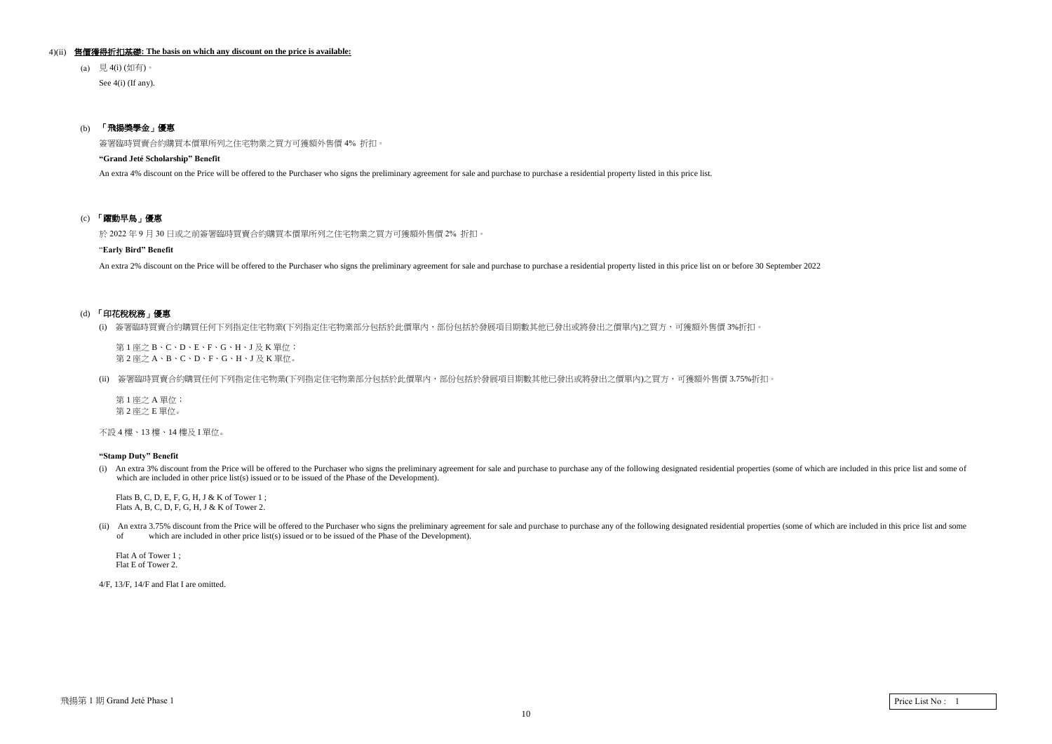#### 4)(ii) 售價獲得折扣基礎**: The basis on which any discount on the price is available:**

(a)  $\quad \frac{\pi}{6}$  4(i) (如有)。

See  $4(i)$  (If any).

### (b) 「飛揚獎學金」優惠

簽署臨時買賣合約購買本價單所列之住宅物業之買方可獲額外售價 4% 折扣。

#### **"Grand Jeté Scholarship" Benefit**

An extra 4% discount on the Price will be offered to the Purchaser who signs the preliminary agreement for sale and purchase to purchase a residential property listed in this price list.

### (c) 「躍動早鳥」優惠

於 2022年9月30日或之前簽署臨時買賣合約購買本價單所列之住宅物業之買方可獲額外售價 2%折扣。

第1座之 A 單位; 第 2 座之 E 單位。

不設 4 樓、13 樓、14 樓及 I 單位。

#### "**Early Bird" Benefit**

An extra 2% discount on the Price will be offered to the Purchaser who signs the preliminary agreement for sale and purchase to purchase a residential property listed in this price list on or before 30 September 2022

### (d) 「印花稅稅務」優惠

(i) 簽署臨時買賣合約購買任何下列指定住宅物業(下列指定住宅物業部分包括於此價單內,部份包括於發展項目期數其他已發出或將發出之價單內)之買方,可獲額外售價 3%折扣。

第1座之B、C、D、E、F、G、H、J及K 單位; 第2座之 A、B、C、D、F、G、H、J及K 單位。

(ii) 簽署臨時買賣合約購買任何下列指定住宅物業(下列指定住宅物業部分包括於此價單內,部份包括於發展項目期數其他已發出或將發出之價單內)之買方,可獲額外售價 3.75%折扣。

(ii) An extra 3.75% discount from the Price will be offered to the Purchaser who signs the preliminary agreement for sale and purchase to purchase any of the following designated residential properties (some of which are i of which are included in other price list(s) issued or to be issued of the Phase of the Development).

#### **"Stamp Duty" Benefit**

(i) An extra 3% discount from the Price will be offered to the Purchaser who signs the preliminary agreement for sale and purchase to purchase any of the following designated residential properties (some of which are inclu which are included in other price list(s) issued or to be issued of the Phase of the Development).

 Flats B, C, D, E, F, G, H, J & K of Tower 1 ; Flats A, B, C, D, F, G, H, J & K of Tower 2.

 Flat A of Tower 1 ; Flat E of Tower 2.

4/F, 13/F, 14/F and Flat I are omitted.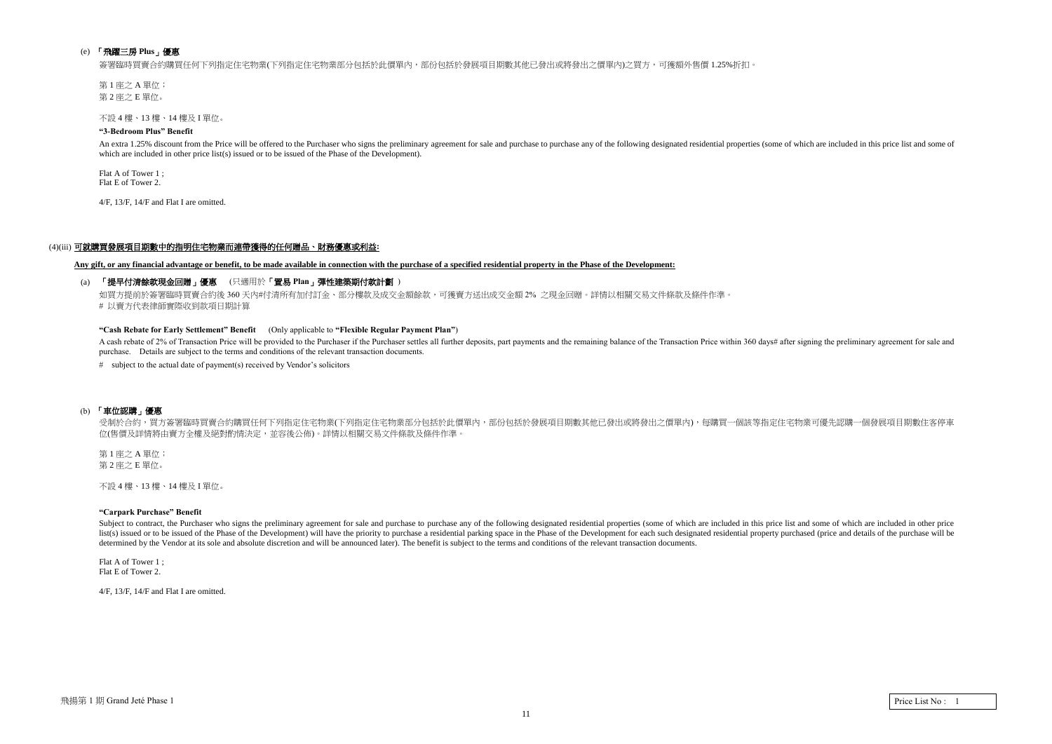### (e) 「飛躍三房 Plus」優惠

簽署臨時買賣合約購買任何下列指定住宅物業(下列指定住宅物業部分包括於此價單內,部份包括於發展項目期數其他已發出或將發出之價單內)之買方,可獲額外售價 1.25%折扣。

第1座之 A 單位; 第 2 座之 E 單位。

不設 4 樓、13 樓、14 樓及 I 單位。

#### **"3-Bedroom Plus" Benefit**

An extra 1.25% discount from the Price will be offered to the Purchaser who signs the preliminary agreement for sale and purchase to purchase any of the following designated residential properties (some of which are includ which are included in other price list(s) issued or to be issued of the Phase of the Development).

Flat A of Tower 1 ; Flat E of Tower 2.

4/F, 13/F, 14/F and Flat I are omitted.

#### (4)(iii) 可就購買發展項目期數中的指明住宅物業而連帶獲得的任何贈品、財務優惠或利益:

A cash rebate of 2% of Transaction Price will be provided to the Purchaser if the Purchaser settles all further deposits, part payments and the remaining balance of the Transaction Price within 360 days# after signing the purchase. Details are subject to the terms and conditions of the relevant transaction documents.

**Any gift, or any financial advantage or benefit, to be made available in connection with the purchase of a specified residential property in the Phase of the Development:**

### (a) 「提早付清餘款現金回贈」優惠 (只適用於「置易 Plan」彈性建築期付款計劃 )

如買方提前於簽署臨時買賣合約後 360 天内#付清所有加付訂金、部分樓款及成交金額餘款,可獲賣方送出成交金額 2% 之現金回贈。詳情以相關交易文件條款及條件作準 # 以賣方代表律師實際收到款項日期計算

第1 座之 A 單位; 第 2 座之 E 單位。

#### **"Cash Rebate for Early Settlement" Benefit** (Only applicable to **"Flexible Regular Payment Plan"**)

# subject to the actual date of payment(s) received by Vendor's solicitors

#### (b) 「車位認購」優惠

受制於合約,買方簽署臨時買賣合約購買任何下列指定住宅物業(下列指定住宅物業部分包括於此價單內,部份包括於發展項目期數其他已發出或將發出之價單內),每購買一個該等指定住宅物業可優先認購一個發展項目期數住客停車 位(售價及詳情將由賣方全權及絕對酌情決定,並容後公佈)。詳情以相關交易文件條款及條件作準。

不設 4 樓ˣ13 樓ˣ14 樓及 I 單位。

#### **"Carpark Purchase" Benefit**

Subject to contract, the Purchaser who signs the preliminary agreement for sale and purchase to purchase to purchase any of the following designated residential properties (some of which are included in this price list and list(s) issued or to be issued of the Phase of the Development) will have the priority to purchase a residential parking space in the Phase of the Development for each such designated residential property purchased (price determined by the Vendor at its sole and absolute discretion and will be announced later). The benefit is subject to the terms and conditions of the relevant transaction documents.

Flat A of Tower 1 ; Flat E of Tower 2.

4/F, 13/F, 14/F and Flat I are omitted.